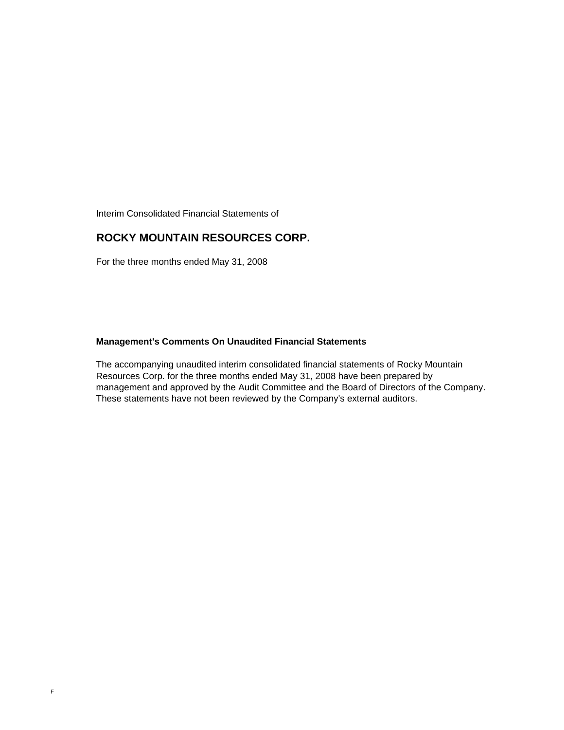Interim Consolidated Financial Statements of

### **ROCKY MOUNTAIN RESOURCES CORP.**

For the three months ended May 31, 2008

#### **Management's Comments On Unaudited Financial Statements**

The accompanying unaudited interim consolidated financial statements of Rocky Mountain Resources Corp. for the three months ended May 31, 2008 have been prepared by management and approved by the Audit Committee and the Board of Directors of the Company. These statements have not been reviewed by the Company's external auditors.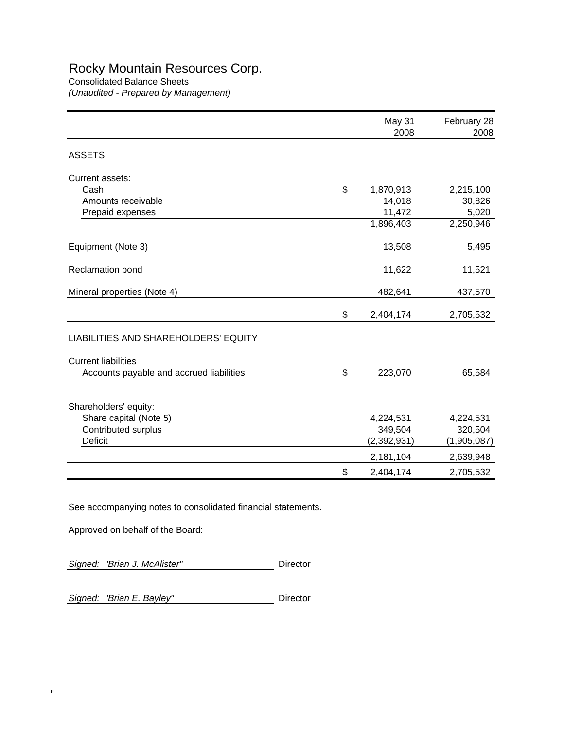# Rocky Mountain Resources Corp.

Consolidated Balance Sheets *(Unaudited - Prepared by Management)*

|                                          | May 31<br>2008  | February 28<br>2008 |
|------------------------------------------|-----------------|---------------------|
| <b>ASSETS</b>                            |                 |                     |
| Current assets:                          |                 |                     |
| Cash                                     | \$<br>1,870,913 | 2,215,100           |
| Amounts receivable                       | 14,018          | 30,826              |
| Prepaid expenses                         | 11,472          | 5,020               |
|                                          | 1,896,403       | 2,250,946           |
| Equipment (Note 3)                       | 13,508          | 5,495               |
| <b>Reclamation bond</b>                  | 11,622          | 11,521              |
| Mineral properties (Note 4)              | 482,641         | 437,570             |
|                                          | \$<br>2,404,174 | 2,705,532           |
| LIABILITIES AND SHAREHOLDERS' EQUITY     |                 |                     |
| <b>Current liabilities</b>               |                 |                     |
| Accounts payable and accrued liabilities | \$<br>223,070   | 65,584              |
| Shareholders' equity:                    |                 |                     |
| Share capital (Note 5)                   | 4,224,531       | 4,224,531           |
| Contributed surplus                      | 349,504         | 320,504             |
| Deficit                                  | (2, 392, 931)   | (1,905,087)         |
|                                          | 2,181,104       | 2,639,948           |
|                                          | \$<br>2,404,174 | 2,705,532           |

See accompanying notes to consolidated financial statements.

Approved on behalf of the Board:

**Signed: "Brian J. McAlister"** Director

Signed: "Brian E. Bayley" **Director**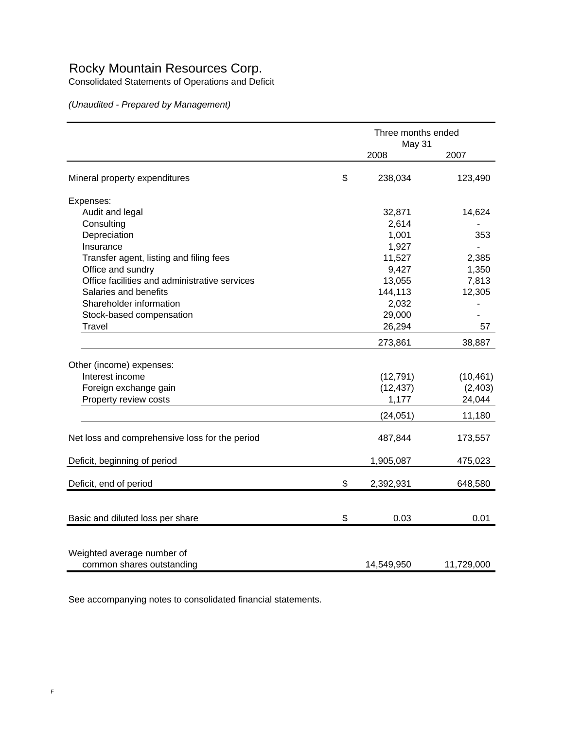## Rocky Mountain Resources Corp.

Consolidated Statements of Operations and Deficit

*(Unaudited - Prepared by Management)*

|                                                | Three months ended<br>May 31 |            |            |
|------------------------------------------------|------------------------------|------------|------------|
|                                                |                              | 2008       | 2007       |
| Mineral property expenditures                  | \$                           | 238,034    | 123,490    |
| Expenses:                                      |                              |            |            |
| Audit and legal                                |                              | 32,871     | 14,624     |
| Consulting                                     |                              | 2,614      |            |
| Depreciation                                   |                              | 1,001      | 353        |
| Insurance                                      |                              | 1,927      |            |
| Transfer agent, listing and filing fees        |                              | 11,527     | 2,385      |
| Office and sundry                              |                              | 9,427      | 1,350      |
| Office facilities and administrative services  |                              | 13,055     | 7,813      |
| Salaries and benefits                          |                              | 144,113    | 12,305     |
| Shareholder information                        |                              | 2,032      |            |
| Stock-based compensation                       |                              | 29,000     |            |
| <b>Travel</b>                                  |                              | 26,294     | 57         |
|                                                |                              | 273,861    | 38,887     |
| Other (income) expenses:                       |                              |            |            |
| Interest income                                |                              | (12, 791)  | (10, 461)  |
| Foreign exchange gain                          |                              | (12, 437)  | (2,403)    |
| Property review costs                          |                              | 1,177      | 24,044     |
|                                                |                              | (24, 051)  | 11,180     |
|                                                |                              |            |            |
| Net loss and comprehensive loss for the period |                              | 487,844    | 173,557    |
| Deficit, beginning of period                   |                              | 1,905,087  | 475,023    |
| Deficit, end of period                         | \$                           | 2,392,931  | 648,580    |
|                                                |                              |            |            |
| Basic and diluted loss per share               | \$                           | 0.03       | 0.01       |
|                                                |                              |            |            |
| Weighted average number of                     |                              |            |            |
| common shares outstanding                      |                              | 14,549,950 | 11,729,000 |

See accompanying notes to consolidated financial statements.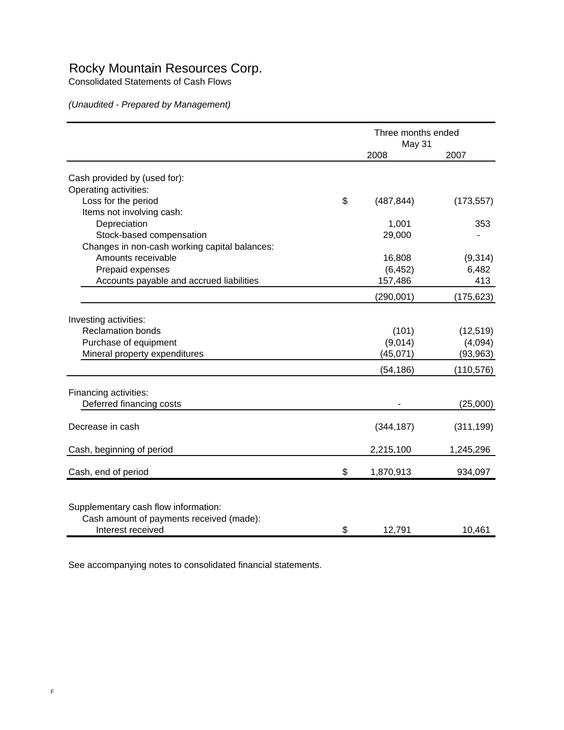### Rocky Mountain Resources Corp.

Consolidated Statements of Cash Flows

*(Unaudited - Prepared by Management)*

|                                                                                                                                     |    | Three months ended            |                                   |
|-------------------------------------------------------------------------------------------------------------------------------------|----|-------------------------------|-----------------------------------|
|                                                                                                                                     |    | May 31<br>2008                | 2007                              |
| Cash provided by (used for):                                                                                                        |    |                               |                                   |
| Operating activities:<br>Loss for the period<br>Items not involving cash:                                                           | \$ | (487, 844)                    | (173, 557)                        |
| Depreciation<br>Stock-based compensation                                                                                            |    | 1,001<br>29,000               | 353                               |
| Changes in non-cash working capital balances:<br>Amounts receivable<br>Prepaid expenses<br>Accounts payable and accrued liabilities |    | 16,808<br>(6, 452)<br>157,486 | (9,314)<br>6,482<br>413           |
|                                                                                                                                     |    | (290,001)                     | (175, 623)                        |
| Investing activities:<br><b>Reclamation bonds</b><br>Purchase of equipment<br>Mineral property expenditures                         |    | (101)<br>(9,014)<br>(45,071)  | (12, 519)<br>(4,094)<br>(93, 963) |
|                                                                                                                                     |    | (54, 186)                     | (110, 576)                        |
| Financing activities:<br>Deferred financing costs                                                                                   |    |                               | (25,000)                          |
| Decrease in cash                                                                                                                    |    | (344, 187)                    | (311, 199)                        |
| Cash, beginning of period                                                                                                           |    | 2,215,100                     | 1,245,296                         |
| Cash, end of period                                                                                                                 | \$ | 1,870,913                     | 934,097                           |
| Supplementary cash flow information:<br>Cash amount of payments received (made):<br>Interest received                               | \$ | 12,791                        | 10,461                            |

See accompanying notes to consolidated financial statements.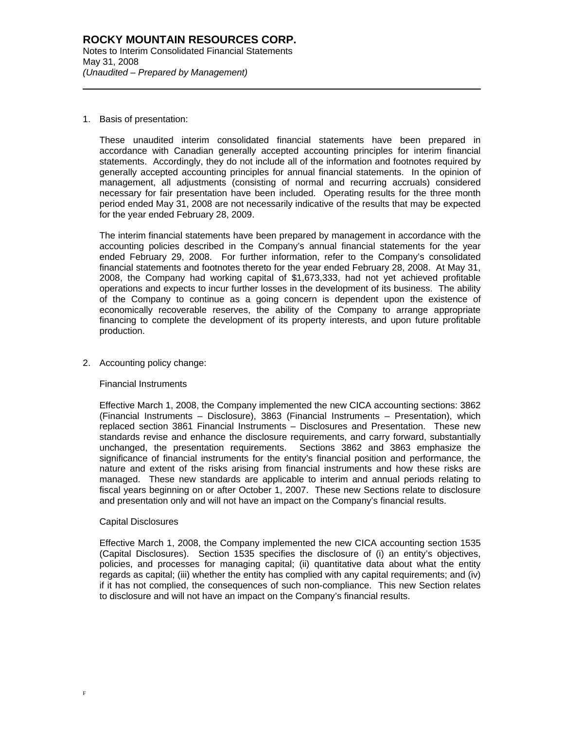1. Basis of presentation:

l

These unaudited interim consolidated financial statements have been prepared in accordance with Canadian generally accepted accounting principles for interim financial statements. Accordingly, they do not include all of the information and footnotes required by generally accepted accounting principles for annual financial statements. In the opinion of management, all adjustments (consisting of normal and recurring accruals) considered necessary for fair presentation have been included. Operating results for the three month period ended May 31, 2008 are not necessarily indicative of the results that may be expected for the year ended February 28, 2009.

The interim financial statements have been prepared by management in accordance with the accounting policies described in the Company's annual financial statements for the year ended February 29, 2008. For further information, refer to the Company's consolidated financial statements and footnotes thereto for the year ended February 28, 2008.At May 31, 2008, the Company had working capital of \$1,673,333, had not yet achieved profitable operations and expects to incur further losses in the development of its business. The ability of the Company to continue as a going concern is dependent upon the existence of economically recoverable reserves, the ability of the Company to arrange appropriate financing to complete the development of its property interests, and upon future profitable production.

2. Accounting policy change:

#### Financial Instruments

Effective March 1, 2008, the Company implemented the new CICA accounting sections: 3862 (Financial Instruments – Disclosure), 3863 (Financial Instruments – Presentation), which replaced section 3861 Financial Instruments – Disclosures and Presentation. These new standards revise and enhance the disclosure requirements, and carry forward, substantially unchanged, the presentation requirements. Sections 3862 and 3863 emphasize the significance of financial instruments for the entity's financial position and performance, the nature and extent of the risks arising from financial instruments and how these risks are managed. These new standards are applicable to interim and annual periods relating to fiscal years beginning on or after October 1, 2007. These new Sections relate to disclosure and presentation only and will not have an impact on the Company's financial results.

#### Capital Disclosures

Effective March 1, 2008, the Company implemented the new CICA accounting section 1535 (Capital Disclosures). Section 1535 specifies the disclosure of (i) an entity's objectives, policies, and processes for managing capital; (ii) quantitative data about what the entity regards as capital; (iii) whether the entity has complied with any capital requirements; and (iv) if it has not complied, the consequences of such non-compliance. This new Section relates to disclosure and will not have an impact on the Company's financial results.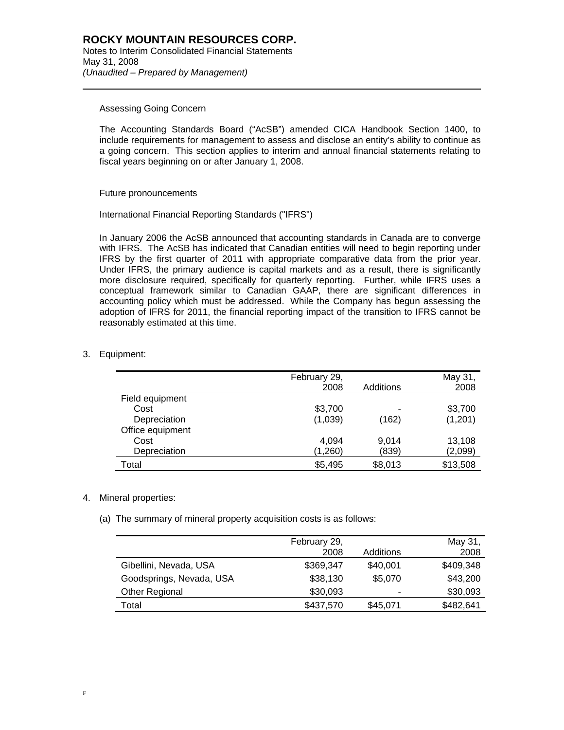#### Assessing Going Concern

l

The Accounting Standards Board ("AcSB") amended CICA Handbook Section 1400, to include requirements for management to assess and disclose an entity's ability to continue as a going concern. This section applies to interim and annual financial statements relating to fiscal years beginning on or after January 1, 2008.

#### Future pronouncements

#### International Financial Reporting Standards ("IFRS")

In January 2006 the AcSB announced that accounting standards in Canada are to converge with IFRS. The AcSB has indicated that Canadian entities will need to begin reporting under IFRS by the first quarter of 2011 with appropriate comparative data from the prior year. Under IFRS, the primary audience is capital markets and as a result, there is significantly more disclosure required, specifically for quarterly reporting. Further, while IFRS uses a conceptual framework similar to Canadian GAAP, there are significant differences in accounting policy which must be addressed. While the Company has begun assessing the adoption of IFRS for 2011, the financial reporting impact of the transition to IFRS cannot be reasonably estimated at this time.

#### 3. Equipment:

|                  | February 29,<br>2008 | Additions | May 31,<br>2008 |
|------------------|----------------------|-----------|-----------------|
| Field equipment  |                      |           |                 |
| Cost             | \$3,700              |           | \$3,700         |
| Depreciation     | (1,039)              | (162)     | (1,201)         |
| Office equipment |                      |           |                 |
| Cost             | 4,094                | 9.014     | 13,108          |
| Depreciation     | (1,260)              | (839)     | (2,099)         |
| Total            | \$5,495              | \$8,013   | \$13,508        |

#### 4. Mineral properties:

(a) The summary of mineral property acquisition costs is as follows:

|                          | February 29, |           | May 31,   |
|--------------------------|--------------|-----------|-----------|
|                          | 2008         | Additions | 2008      |
| Gibellini, Nevada, USA   | \$369,347    | \$40,001  | \$409,348 |
| Goodsprings, Nevada, USA | \$38,130     | \$5,070   | \$43,200  |
| Other Regional           | \$30,093     | -         | \$30,093  |
| Total                    | \$437,570    | \$45,071  | \$482,641 |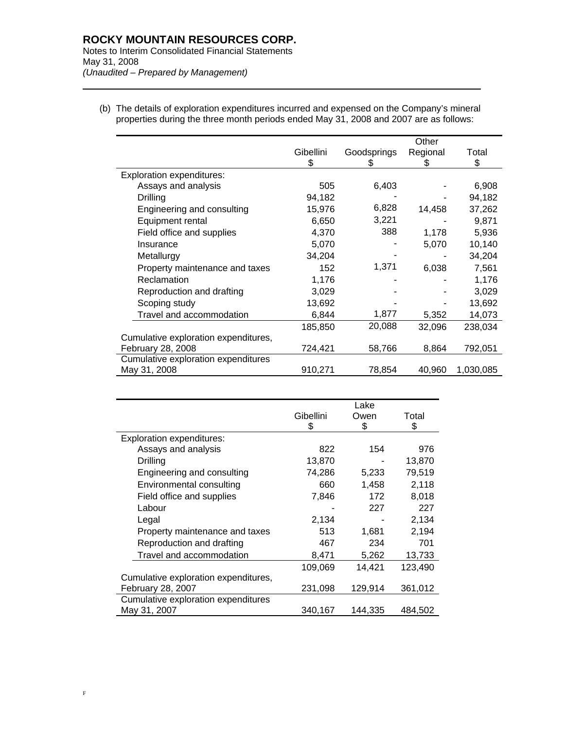l

(b) The details of exploration expenditures incurred and expensed on the Company's mineral properties during the three month periods ended May 31, 2008 and 2007 are as follows:

|         |             | Other    |           |
|---------|-------------|----------|-----------|
|         | Goodsprings | Regional | Total     |
| \$      | Ж           | Ж.       | S         |
|         |             |          |           |
| 505     | 6,403       |          | 6,908     |
| 94,182  |             |          | 94,182    |
| 15,976  | 6,828       | 14,458   | 37,262    |
| 6,650   | 3,221       |          | 9,871     |
| 4,370   | 388         | 1,178    | 5,936     |
| 5,070   |             | 5,070    | 10,140    |
| 34,204  |             |          | 34,204    |
| 152     | 1,371       | 6,038    | 7,561     |
| 1,176   |             |          | 1,176     |
| 3,029   |             |          | 3,029     |
| 13,692  |             |          | 13,692    |
| 6,844   | 1,877       | 5,352    | 14,073    |
| 185,850 | 20,088      | 32,096   | 238,034   |
|         |             |          |           |
| 724,421 | 58,766      | 8,864    | 792,051   |
|         |             |          |           |
| 910,271 | 78,854      | 40,960   | 1,030,085 |
|         | Gibellini   |          |           |

|                                      |           | Lake    |         |
|--------------------------------------|-----------|---------|---------|
|                                      | Gibellini | Owen    | Total   |
|                                      | \$        | \$      | \$      |
| Exploration expenditures:            |           |         |         |
| Assays and analysis                  | 822       | 154     | 976     |
| Drilling                             | 13,870    |         | 13,870  |
| Engineering and consulting           | 74,286    | 5,233   | 79,519  |
| Environmental consulting             | 660       | 1,458   | 2,118   |
| Field office and supplies            | 7,846     | 172     | 8,018   |
| Labour                               |           | 227     | 227     |
| Legal                                | 2,134     |         | 2,134   |
| Property maintenance and taxes       | 513       | 1,681   | 2,194   |
| Reproduction and drafting            | 467       | 234     | 701     |
| Travel and accommodation             | 8,471     | 5,262   | 13,733  |
|                                      | 109,069   | 14,421  | 123,490 |
| Cumulative exploration expenditures, |           |         |         |
| February 28, 2007                    | 231,098   | 129,914 | 361,012 |
| Cumulative exploration expenditures  |           |         |         |
| May 31, 2007                         | 340,167   | 144,335 | 484,502 |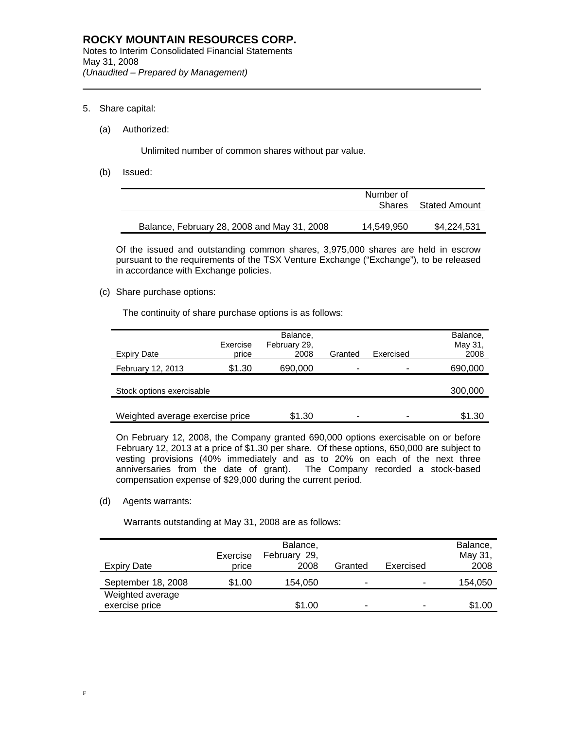5. Share capital:

l

(a) Authorized:

Unlimited number of common shares without par value.

(b) Issued:

|                                             | Number of<br>Shares | Stated Amount |
|---------------------------------------------|---------------------|---------------|
| Balance, February 28, 2008 and May 31, 2008 | 14,549,950          | \$4,224,531   |

Of the issued and outstanding common shares, 3,975,000 shares are held in escrow pursuant to the requirements of the TSX Venture Exchange ("Exchange"), to be released in accordance with Exchange policies.

(c) Share purchase options:

The continuity of share purchase options is as follows:

| <b>Expiry Date</b>              | Exercise<br>price | Balance,<br>February 29,<br>2008 | Granted                  | Exercised                | Balance,<br>May 31,<br>2008 |
|---------------------------------|-------------------|----------------------------------|--------------------------|--------------------------|-----------------------------|
| February 12, 2013               | \$1.30            | 690,000                          | $\overline{\phantom{0}}$ | ۰                        | 690,000                     |
| Stock options exercisable       |                   |                                  |                          |                          | 300,000                     |
| Weighted average exercise price |                   | \$1.30                           | -                        | $\overline{\phantom{0}}$ | \$1.30                      |

On February 12, 2008, the Company granted 690,000 options exercisable on or before February 12, 2013 at a price of \$1.30 per share. Of these options, 650,000 are subject to vesting provisions (40% immediately and as to 20% on each of the next three anniversaries from the date of grant). The Company recorded a stock-based The Company recorded a stock-based compensation expense of \$29,000 during the current period.

(d) Agents warrants:

Warrants outstanding at May 31, 2008 are as follows:

|                                    | Exercise | Balance,<br>February 29, |         |           | Balance,<br>May 31, |
|------------------------------------|----------|--------------------------|---------|-----------|---------------------|
| Expiry Date                        | price    | 2008                     | Granted | Exercised | 2008                |
| September 18, 2008                 | \$1.00   | 154,050                  | -       |           | 154,050             |
| Weighted average<br>exercise price |          | \$1.00                   | -       | -         | \$1.00              |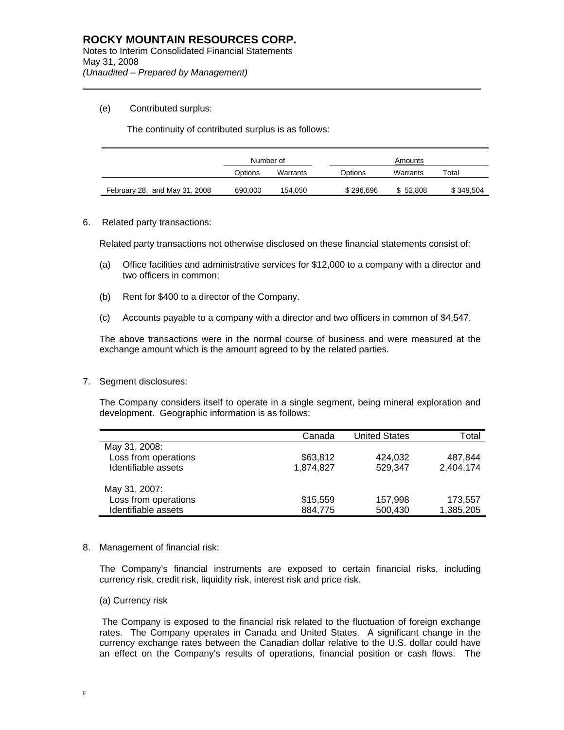#### (e) Contributed surplus:

l

The continuity of contributed surplus is as follows:

|                               | Number of |          |           | Amounts  |           |
|-------------------------------|-----------|----------|-----------|----------|-----------|
|                               | Options   | Warrants | Options   | Warrants | Total     |
| February 28, and May 31, 2008 | 690.000   | 154.050  | \$296,696 | \$52,808 | \$349,504 |

#### 6. Related party transactions:

Related party transactions not otherwise disclosed on these financial statements consist of:

- (a) Office facilities and administrative services for \$12,000 to a company with a director and two officers in common;
- (b) Rent for \$400 to a director of the Company.
- (c) Accounts payable to a company with a director and two officers in common of \$4,547.

The above transactions were in the normal course of business and were measured at the exchange amount which is the amount agreed to by the related parties.

7. Segment disclosures:

The Company considers itself to operate in a single segment, being mineral exploration and development. Geographic information is as follows:

|                      | Canada    | <b>United States</b> | Total     |
|----------------------|-----------|----------------------|-----------|
| May 31, 2008:        |           |                      |           |
| Loss from operations | \$63,812  | 424.032              | 487.844   |
| Identifiable assets  | 1,874,827 | 529.347              | 2,404,174 |
| May 31, 2007:        |           |                      |           |
| Loss from operations | \$15,559  | 157,998              | 173,557   |
| Identifiable assets  | 884,775   | 500,430              | 1,385,205 |
|                      |           |                      |           |

#### 8. Management of financial risk:

The Company's financial instruments are exposed to certain financial risks, including currency risk, credit risk, liquidity risk, interest risk and price risk.

#### (a) Currency risk

 The Company is exposed to the financial risk related to the fluctuation of foreign exchange rates. The Company operates in Canada and United States. A significant change in the currency exchange rates between the Canadian dollar relative to the U.S. dollar could have an effect on the Company's results of operations, financial position or cash flows. The